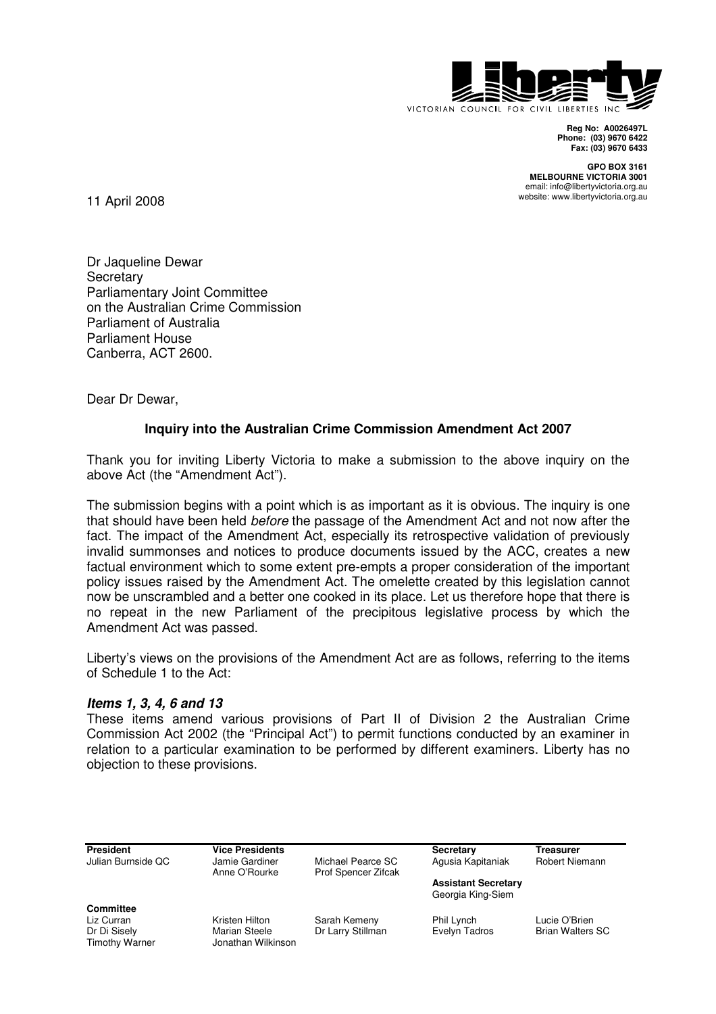

**Reg No: A0026497L Phone: (03) 9670 6422 Fax: (03) 9670 6433** 

**GPO BOX 3161 MELBOURNE VICTORIA 3001**  email: info@libertyvictoria.org.au website: www.libertyvictoria.org.au

11 April 2008

Dr Jaqueline Dewar **Secretary** Parliamentary Joint Committee on the Australian Crime Commission Parliament of Australia Parliament House Canberra, ACT 2600.

Dear Dr Dewar,

# **Inquiry into the Australian Crime Commission Amendment Act 2007**

Thank you for inviting Liberty Victoria to make a submission to the above inquiry on the above Act (the "Amendment Act").

The submission begins with a point which is as important as it is obvious. The inquiry is one that should have been held before the passage of the Amendment Act and not now after the fact. The impact of the Amendment Act, especially its retrospective validation of previously invalid summonses and notices to produce documents issued by the ACC, creates a new factual environment which to some extent pre-empts a proper consideration of the important policy issues raised by the Amendment Act. The omelette created by this legislation cannot now be unscrambled and a better one cooked in its place. Let us therefore hope that there is no repeat in the new Parliament of the precipitous legislative process by which the Amendment Act was passed.

Liberty's views on the provisions of the Amendment Act are as follows, referring to the items of Schedule 1 to the Act:

## **Items 1, 3, 4, 6 and 13**

These items amend various provisions of Part II of Division 2 the Australian Crime Commission Act 2002 (the "Principal Act") to permit functions conducted by an examiner in relation to a particular examination to be performed by different examiners. Liberty has no objection to these provisions.

| President                      | <b>Vice Presidents</b>              |                                          | Secretary                                       | Treasurer               |
|--------------------------------|-------------------------------------|------------------------------------------|-------------------------------------------------|-------------------------|
| Julian Burnside QC             | Jamie Gardiner<br>Anne O'Rourke     | Michael Pearce SC<br>Prof Spencer Zifcak | Agusia Kapitaniak                               | Robert Niemann          |
|                                |                                     |                                          | <b>Assistant Secretary</b><br>Georgia King-Siem |                         |
| Committee                      |                                     |                                          |                                                 |                         |
| Liz Curran                     | Kristen Hilton                      | Sarah Kemeny                             | Phil Lynch                                      | Lucie O'Brien           |
| Dr Di Sisely<br>Timothy Warner | Marian Steele<br>Jonathan Wilkinson | Dr Larry Stillman                        | Evelyn Tadros                                   | <b>Brian Walters SC</b> |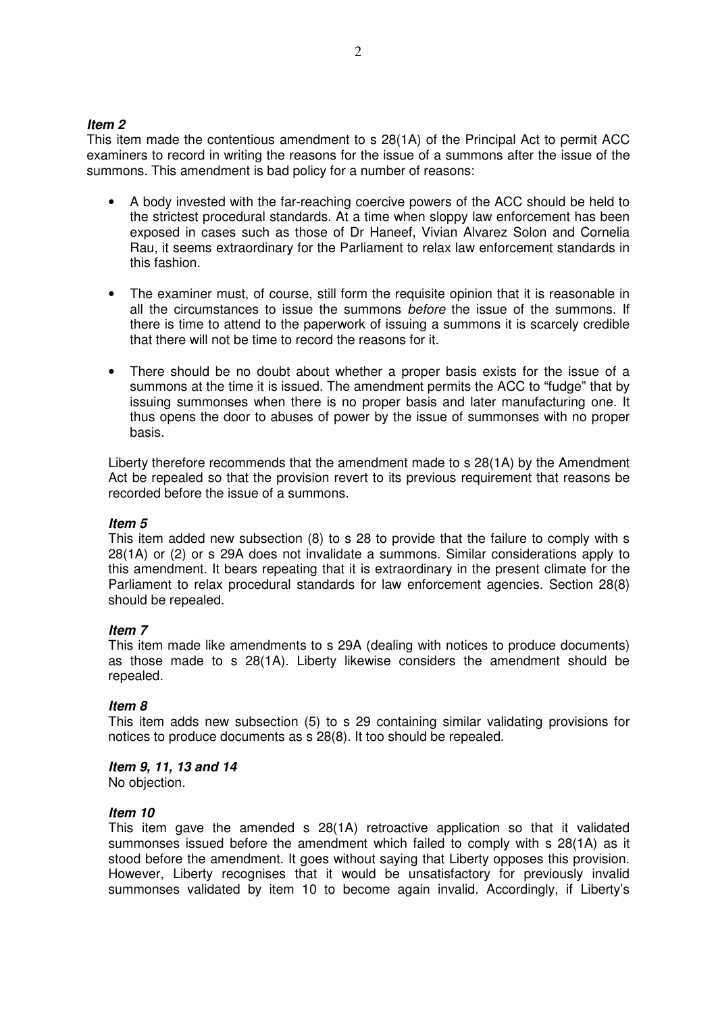#### **Item 2**

This item made the contentious amendment to s 28(1A) of the Principal Act to permit ACC examiners to record in writing the reasons for the issue of a summons after the issue of the summons. This amendment is bad policy for a number of reasons:

- A body invested with the far-reaching coercive powers of the ACC should be held to the strictest procedural standards. At a time when sloppy law enforcement has been exposed in cases such as those of Dr Haneef, Vivian Alvarez Solon and Cornelia Rau, it seems extraordinary for the Parliament to relax law enforcement standards in this fashion.
- The examiner must, of course, still form the requisite opinion that it is reasonable in all the circumstances to issue the summons before the issue of the summons. If there is time to attend to the paperwork of issuing a summons it is scarcely credible that there will not be time to record the reasons for it.
- There should be no doubt about whether a proper basis exists for the issue of a summons at the time it is issued. The amendment permits the ACC to "fudge" that by issuing summonses when there is no proper basis and later manufacturing one. It thus opens the door to abuses of power by the issue of summonses with no proper basis.

Liberty therefore recommends that the amendment made to s 28(1A) by the Amendment Act be repealed so that the provision revert to its previous requirement that reasons be recorded before the issue of a summons.

## **Item 5**

This item added new subsection (8) to s 28 to provide that the failure to comply with s 28(1A) or (2) or s 29A does not invalidate a summons. Similar considerations apply to this amendment. It bears repeating that it is extraordinary in the present climate for the Parliament to relax procedural standards for law enforcement agencies. Section 28(8) should be repealed.

## **Item 7**

This item made like amendments to s 29A (dealing with notices to produce documents) as those made to s 28(1A). Liberty likewise considers the amendment should be repealed.

## **Item 8**

This item adds new subsection (5) to s 29 containing similar validating provisions for notices to produce documents as s 28(8). It too should be repealed.

#### **Item 9, 11, 13 and 14**

No objection.

## **Item 10**

This item gave the amended s 28(1A) retroactive application so that it validated summonses issued before the amendment which failed to comply with s 28(1A) as it stood before the amendment. It goes without saying that Liberty opposes this provision. However, Liberty recognises that it would be unsatisfactory for previously invalid summonses validated by item 10 to become again invalid. Accordingly, if Liberty's